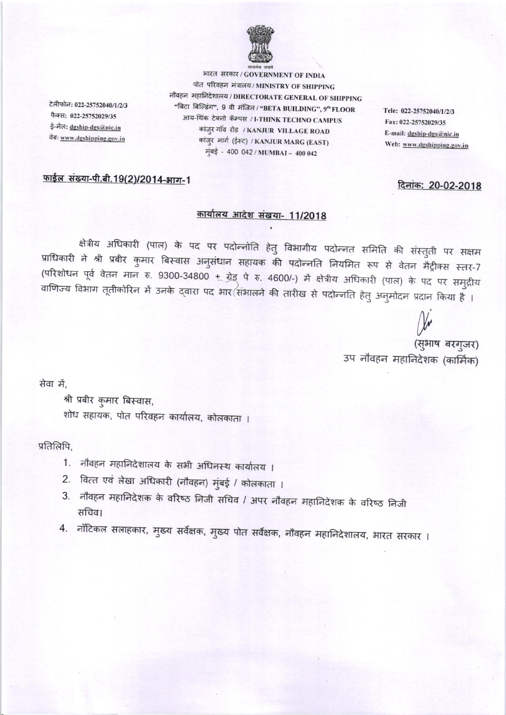

भारत सरकार / GOVERNMENT OF INDIA पोत परिवहन मंत्रालय / MINISTRY OF SHIPPING नौवहन महानिदेशालय / DIRECTORATE GENERAL OF SHIPPING "बिटा बिल्डिंग", 9 वी मंजिल / "BETA BUILDING", 9" FLOOR आय-थिंक टेक्नो कॅम्पस / I-THINK TECHNO CAMPUS कांज़ुर गाँव रोड / KANJUR VILLAGE ROAD कांजुर मार्ग (ईस्ट) / KANJUR MARG (EAST) मुंबई - 400 042 / MUMBAI - 400 042

Tele: 022-25752040/1/2/3 Fax: 022-25752029/35 E-mail: dgship-dgs@nic.in Web: www.dgshipping.gov.in

दिनांक: 20-02-2018

## फाईल संख्या-पी.बी.19(2)/2014-भाग-1

टेलीफोन: 022-25752040/1/2/3

फैक्स: 022-25752029/35

ई-मेल: dgship-dgs@nic.in

वेबः www.dgshipping.gov.in

## कार्यालय आदेश संखया- 11/2018

क्षेत्रीय अधिकारी (पाल) के पद पर पदोन्नोति हेतु विभागीय पदोन्नत समिति की संस्तुती पर सक्षम प्राधिकारी ने श्री प्रबीर कुमार बिस्वास अनुसंधान सहायक की पदोन्नति नियमित रूप से वेतन मैट्रीक्स स्तर-7 (परिशोधन पूर्व वेतन मान रु. 9300-34800 + ग्रेड् पे रु. 4600/-) में क्षेत्रीय अधिकारी (पाल) के पद पर समुद्रीय वाणिज्य विभाग तूतीकोरिन में उनके द्वारा पद भार संभालने की तारीख से पदोन्नति हेतु अनुमोदन प्रदान किया है ।

> (सुभाष बरगुजर) उप नौवहन महानिदेशक (कार्मिक)

सेवा में.

श्री प्रबीर कुमार बिस्वास, शोध सहायक, पोत परिवहन कार्यालय, कोलकाता ।

प्रतिलिपि.

- नौवहन महानिदेशालय के सभी अधिनस्थ कार्यालय ।  $1.$
- 2. वित्त एवं लेखा अधिकारी (नौवहन) मुंबई / कोलकाता ।
- नौवहन महानिदेशक के वरिष्ठ निजी सचिव / अपर नौवहन महानिदेशक के वरिष्ठ निजी  $3.$ सचिव।
- 4. नॉटिकल सलाहकार, मुख्य सर्वेक्षक, मुख्य पोत सर्वेक्षक, नौवहन महानिदेशालय, भारत सरकार ।